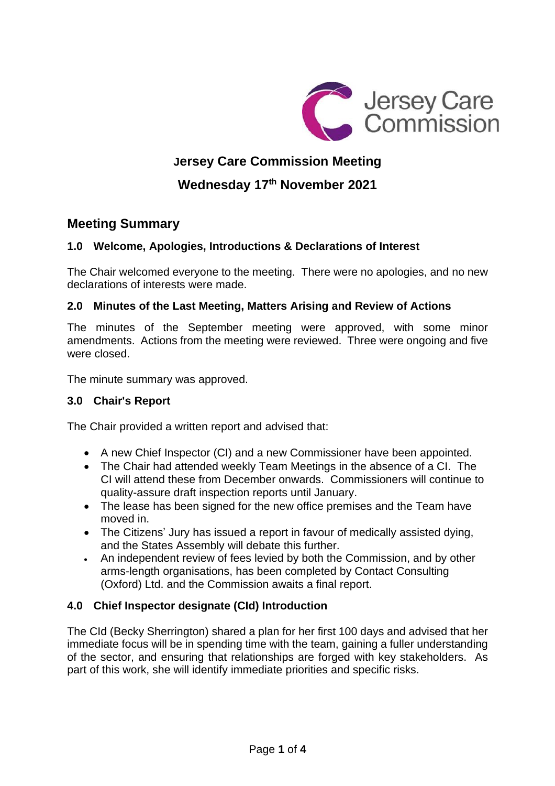

# **Jersey Care Commission Meeting**

**Wednesday 17th November 2021**

# **Meeting Summary**

# **1.0 Welcome, Apologies, Introductions & Declarations of Interest**

The Chair welcomed everyone to the meeting. There were no apologies, and no new declarations of interests were made.

### **2.0 Minutes of the Last Meeting, Matters Arising and Review of Actions**

The minutes of the September meeting were approved, with some minor amendments. Actions from the meeting were reviewed. Three were ongoing and five were closed.

The minute summary was approved.

# **3.0 Chair's Report**

The Chair provided a written report and advised that:

- A new Chief Inspector (CI) and a new Commissioner have been appointed.
- The Chair had attended weekly Team Meetings in the absence of a CI. The CI will attend these from December onwards. Commissioners will continue to quality-assure draft inspection reports until January.
- The lease has been signed for the new office premises and the Team have moved in.
- The Citizens' Jury has issued a report in favour of medically assisted dying, and the States Assembly will debate this further.
- An independent review of fees levied by both the Commission, and by other arms-length organisations, has been completed by Contact Consulting (Oxford) Ltd. and the Commission awaits a final report.

# **4.0 Chief Inspector designate (CId) Introduction**

The CId (Becky Sherrington) shared a plan for her first 100 days and advised that her immediate focus will be in spending time with the team, gaining a fuller understanding of the sector, and ensuring that relationships are forged with key stakeholders. As part of this work, she will identify immediate priorities and specific risks.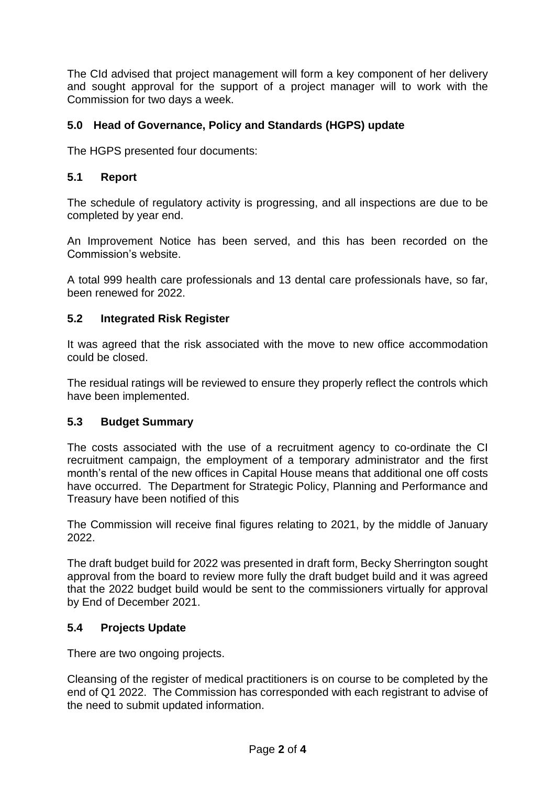The CId advised that project management will form a key component of her delivery and sought approval for the support of a project manager will to work with the Commission for two days a week.

## **5.0 Head of Governance, Policy and Standards (HGPS) update**

The HGPS presented four documents:

#### **5.1 Report**

The schedule of regulatory activity is progressing, and all inspections are due to be completed by year end.

An Improvement Notice has been served, and this has been recorded on the Commission's website.

A total 999 health care professionals and 13 dental care professionals have, so far, been renewed for 2022.

#### **5.2 Integrated Risk Register**

It was agreed that the risk associated with the move to new office accommodation could be closed.

The residual ratings will be reviewed to ensure they properly reflect the controls which have been implemented.

#### **5.3 Budget Summary**

The costs associated with the use of a recruitment agency to co-ordinate the CI recruitment campaign, the employment of a temporary administrator and the first month's rental of the new offices in Capital House means that additional one off costs have occurred. The Department for Strategic Policy, Planning and Performance and Treasury have been notified of this

The Commission will receive final figures relating to 2021, by the middle of January 2022.

The draft budget build for 2022 was presented in draft form, Becky Sherrington sought approval from the board to review more fully the draft budget build and it was agreed that the 2022 budget build would be sent to the commissioners virtually for approval by End of December 2021.

### **5.4 Projects Update**

There are two ongoing projects.

Cleansing of the register of medical practitioners is on course to be completed by the end of Q1 2022. The Commission has corresponded with each registrant to advise of the need to submit updated information.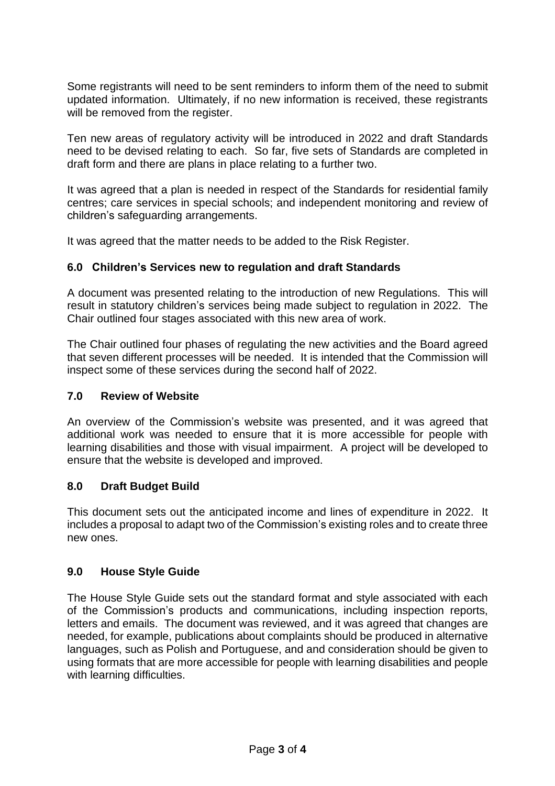Some registrants will need to be sent reminders to inform them of the need to submit updated information. Ultimately, if no new information is received, these registrants will be removed from the register.

Ten new areas of regulatory activity will be introduced in 2022 and draft Standards need to be devised relating to each. So far, five sets of Standards are completed in draft form and there are plans in place relating to a further two.

It was agreed that a plan is needed in respect of the Standards for residential family centres; care services in special schools; and independent monitoring and review of children's safeguarding arrangements.

It was agreed that the matter needs to be added to the Risk Register.

### **6.0 Children's Services new to regulation and draft Standards**

A document was presented relating to the introduction of new Regulations. This will result in statutory children's services being made subject to regulation in 2022. The Chair outlined four stages associated with this new area of work.

The Chair outlined four phases of regulating the new activities and the Board agreed that seven different processes will be needed. It is intended that the Commission will inspect some of these services during the second half of 2022.

### **7.0 Review of Website**

An overview of the Commission's website was presented, and it was agreed that additional work was needed to ensure that it is more accessible for people with learning disabilities and those with visual impairment. A project will be developed to ensure that the website is developed and improved.

### **8.0 Draft Budget Build**

This document sets out the anticipated income and lines of expenditure in 2022. It includes a proposal to adapt two of the Commission's existing roles and to create three new ones.

### **9.0 House Style Guide**

The House Style Guide sets out the standard format and style associated with each of the Commission's products and communications, including inspection reports, letters and emails. The document was reviewed, and it was agreed that changes are needed, for example, publications about complaints should be produced in alternative languages, such as Polish and Portuguese, and and consideration should be given to using formats that are more accessible for people with learning disabilities and people with learning difficulties.